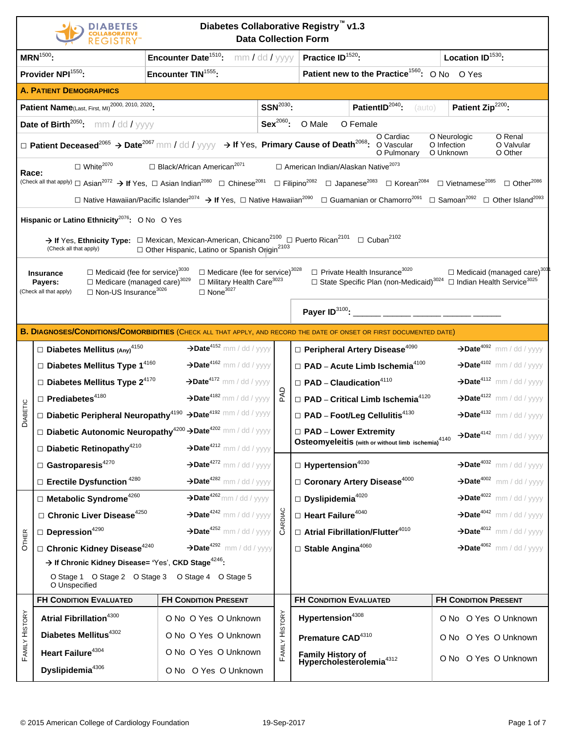|                 | Diabetes Collaborative Registry v1.3<br><b>Data Collection Form</b>                                                                                                                                                                                                                                                                                                                                                                                                                                                                                                                                                                                                                                                                                                                                                                                          |                                                    |                |                                                                                                                                                                                                                                                                                                           |                                                                              |  |  |  |  |  |
|-----------------|--------------------------------------------------------------------------------------------------------------------------------------------------------------------------------------------------------------------------------------------------------------------------------------------------------------------------------------------------------------------------------------------------------------------------------------------------------------------------------------------------------------------------------------------------------------------------------------------------------------------------------------------------------------------------------------------------------------------------------------------------------------------------------------------------------------------------------------------------------------|----------------------------------------------------|----------------|-----------------------------------------------------------------------------------------------------------------------------------------------------------------------------------------------------------------------------------------------------------------------------------------------------------|------------------------------------------------------------------------------|--|--|--|--|--|
|                 | $MRN^{1500}$ :                                                                                                                                                                                                                                                                                                                                                                                                                                                                                                                                                                                                                                                                                                                                                                                                                                               | Encounter Date <sup>1510</sup> :<br>mm / dd / yyyy |                | Practice ID <sup>1520</sup> :                                                                                                                                                                                                                                                                             | Location ID <sup>1530</sup> :                                                |  |  |  |  |  |
|                 | Provider NPI <sup>1550</sup> :                                                                                                                                                                                                                                                                                                                                                                                                                                                                                                                                                                                                                                                                                                                                                                                                                               | Encounter TIN <sup>1555</sup> :                    |                | Patient new to the Practice <sup>1560</sup> : O No O Yes                                                                                                                                                                                                                                                  |                                                                              |  |  |  |  |  |
|                 | <b>A. PATIENT DEMOGRAPHICS</b>                                                                                                                                                                                                                                                                                                                                                                                                                                                                                                                                                                                                                                                                                                                                                                                                                               |                                                    |                |                                                                                                                                                                                                                                                                                                           |                                                                              |  |  |  |  |  |
|                 | Patient Name(Last, First, MI) <sup>2000, 2010, 2020</sup> :                                                                                                                                                                                                                                                                                                                                                                                                                                                                                                                                                                                                                                                                                                                                                                                                  |                                                    | $SSN2030$ :    | PatientID <sup>2040</sup> :<br>(auto)                                                                                                                                                                                                                                                                     | Patient Zip <sup>2200</sup> :                                                |  |  |  |  |  |
|                 | <b>Date of Birth<sup>2050</sup>:</b> mm / dd / $yyyy$                                                                                                                                                                                                                                                                                                                                                                                                                                                                                                                                                                                                                                                                                                                                                                                                        |                                                    | $Sex^{2060}$ : | O Male<br>O Female                                                                                                                                                                                                                                                                                        |                                                                              |  |  |  |  |  |
|                 |                                                                                                                                                                                                                                                                                                                                                                                                                                                                                                                                                                                                                                                                                                                                                                                                                                                              |                                                    |                | O Cardiac<br>□ Patient Deceased <sup>2065</sup> → Date <sup>2067</sup> mm / dd / yyyy → If Yes, Primary Cause of Death <sup>2068</sup> : O Vascular<br>O Pulmonary                                                                                                                                        | O Neurologic<br>O Renal<br>O Infection<br>O Valvular<br>O Unknown<br>O Other |  |  |  |  |  |
| Race:           | $\Box$ White <sup>2070</sup>                                                                                                                                                                                                                                                                                                                                                                                                                                                                                                                                                                                                                                                                                                                                                                                                                                 | □ Black/African American <sup>2071</sup>           |                | □ American Indian/Alaskan Native <sup>2073</sup>                                                                                                                                                                                                                                                          |                                                                              |  |  |  |  |  |
|                 |                                                                                                                                                                                                                                                                                                                                                                                                                                                                                                                                                                                                                                                                                                                                                                                                                                                              |                                                    |                | (Check all that apply) $\Box$ Asian <sup>2072</sup> $\rightarrow$ If Yes, $\Box$ Asian Indian <sup>2080</sup> $\Box$ Chinese <sup>2081</sup> $\Box$ Filipino <sup>2082</sup> $\Box$ Japanese <sup>2083</sup> $\Box$ Korean <sup>2084</sup> $\Box$ Vietnamese <sup>2085</sup> $\Box$ Other <sup>2086</sup> |                                                                              |  |  |  |  |  |
|                 |                                                                                                                                                                                                                                                                                                                                                                                                                                                                                                                                                                                                                                                                                                                                                                                                                                                              |                                                    |                | □ Native Hawaiian/Pacific Islander <sup>2074</sup> → If Yes, □ Native Hawaiian <sup>2090</sup> □ Guamanian or Chamorro <sup>2091</sup> □ Samoan <sup>2092</sup> □ Other Island <sup>2093</sup>                                                                                                            |                                                                              |  |  |  |  |  |
|                 | Hispanic or Latino Ethnicity <sup>2076</sup> : O No O Yes<br>$\rightarrow$ If Yes, Ethnicity Type: $\Box$ Mexican, Mexican-American, Chicano <sup>2100</sup> $\Box$ Puerto Rican <sup>2101</sup> $\Box$ Cuban <sup>2102</sup><br>□ Other Hispanic, Latino or Spanish Origin <sup>2103</sup><br>(Check all that apply)<br>$\square$ Medicare (fee for service) <sup>3028</sup><br>$\Box$ Medicaid (fee for service) <sup>3030</sup><br>$\Box$ Private Health Insurance <sup>3020</sup><br>$\Box$ Medicaid (managed care) <sup>303</sup><br>Insurance<br>$\square$ Medicare (managed care) <sup>3029</sup><br>□ Military Health Care <sup>3023</sup><br>□ State Specific Plan (non-Medicaid) <sup>3024</sup> □ Indian Health Service <sup>3025</sup><br>Payers:<br>$\Box$ None <sup>3027</sup><br>□ Non-US Insurance <sup>3026</sup><br>(Check all that apply) |                                                    |                |                                                                                                                                                                                                                                                                                                           |                                                                              |  |  |  |  |  |
|                 |                                                                                                                                                                                                                                                                                                                                                                                                                                                                                                                                                                                                                                                                                                                                                                                                                                                              |                                                    |                | Payer $ID^{3100}$ : ________                                                                                                                                                                                                                                                                              |                                                                              |  |  |  |  |  |
|                 |                                                                                                                                                                                                                                                                                                                                                                                                                                                                                                                                                                                                                                                                                                                                                                                                                                                              |                                                    |                | <b>B. DIAGNOSES/CONDITIONS/COMORBIDITIES (CHECK ALL THAT APPLY, AND RECORD THE DATE OF ONSET OR FIRST DOCUMENTED DATE)</b>                                                                                                                                                                                |                                                                              |  |  |  |  |  |
|                 | $\square$ Diabetes Mellitus (Any) <sup>4150</sup>                                                                                                                                                                                                                                                                                                                                                                                                                                                                                                                                                                                                                                                                                                                                                                                                            | $\rightarrow$ Date <sup>4152</sup> mm / dd / yyyy  |                | $\Box$ Peripheral Artery Disease <sup>4090</sup>                                                                                                                                                                                                                                                          | $\rightarrow$ Date <sup>4092</sup> mm / dd / yyyy                            |  |  |  |  |  |
|                 | $\square$ Diabetes Mellitus Type 1 <sup>4160</sup>                                                                                                                                                                                                                                                                                                                                                                                                                                                                                                                                                                                                                                                                                                                                                                                                           | $\rightarrow$ Date <sup>4162</sup> mm / dd / yyyy  |                | $\square$ PAD - Acute Limb Ischemia <sup>4100</sup>                                                                                                                                                                                                                                                       | $\rightarrow$ Date <sup>4102</sup> mm / dd / yyyy                            |  |  |  |  |  |
|                 | $\square$ Diabetes Mellitus Type 2 <sup>4170</sup>                                                                                                                                                                                                                                                                                                                                                                                                                                                                                                                                                                                                                                                                                                                                                                                                           | $\rightarrow$ Date <sup>4172</sup> mm / dd / yyyy  |                | $\Box$ PAD – Claudication <sup>4110</sup>                                                                                                                                                                                                                                                                 | $\rightarrow$ Date <sup>4112</sup> mm / dd / yyyy                            |  |  |  |  |  |
|                 | $\Box$ Prediabetes <sup>4180</sup>                                                                                                                                                                                                                                                                                                                                                                                                                                                                                                                                                                                                                                                                                                                                                                                                                           | $\rightarrow$ Date <sup>4182</sup> mm / dd / yyyy  | 친              | $\square$ PAD - Critical Limb Ischemia <sup>4120</sup>                                                                                                                                                                                                                                                    | $\rightarrow$ Date <sup>4122</sup> mm / dd / yyyy                            |  |  |  |  |  |
| <b>DIABETIC</b> | Diabetic Peripheral Neuropathy <sup>4190</sup> >Date <sup>4192</sup> mm / dd / yyyy                                                                                                                                                                                                                                                                                                                                                                                                                                                                                                                                                                                                                                                                                                                                                                          |                                                    |                | $\Box$ PAD - Foot/Leg Cellulitis <sup>4130</sup>                                                                                                                                                                                                                                                          | $\rightarrow$ Date <sup>4132</sup> mm / dd / yyyy                            |  |  |  |  |  |
|                 | <b>Diabetic Autonomic Neuropathy<sup>4200</sup> &gt;Date<sup>4202</sup> mm / dd / yyyy</b>                                                                                                                                                                                                                                                                                                                                                                                                                                                                                                                                                                                                                                                                                                                                                                   |                                                    |                | □ PAD - Lower Extremity                                                                                                                                                                                                                                                                                   | $\rightarrow$ Date <sup>4142</sup> mm / dd / yyyy                            |  |  |  |  |  |
|                 | $\square$ Diabetic Retinopathy <sup>4210</sup>                                                                                                                                                                                                                                                                                                                                                                                                                                                                                                                                                                                                                                                                                                                                                                                                               | $\rightarrow$ Date <sup>4212</sup> mm / dd / yyyy  |                | Osteomyeleitis (with or without limb ischemia) <sup>4140</sup>                                                                                                                                                                                                                                            |                                                                              |  |  |  |  |  |
|                 | $\Box$ Gastroparesis <sup>4270</sup>                                                                                                                                                                                                                                                                                                                                                                                                                                                                                                                                                                                                                                                                                                                                                                                                                         | $\rightarrow$ Date <sup>4272</sup> mm / dd / yyyy  |                | $\Box$ Hypertension <sup>4030</sup>                                                                                                                                                                                                                                                                       | $\rightarrow$ Date <sup>4032</sup> mm / dd / yyyy                            |  |  |  |  |  |
|                 | $\square$ Erectile Dysfunction <sup>4280</sup>                                                                                                                                                                                                                                                                                                                                                                                                                                                                                                                                                                                                                                                                                                                                                                                                               | $\rightarrow$ Date <sup>4282</sup> mm / dd / yyyy  |                | $\Box$ Coronary Artery Disease <sup>4000</sup>                                                                                                                                                                                                                                                            | $\rightarrow$ Date <sup>4002</sup> mm / dd / yyyy                            |  |  |  |  |  |
|                 | $\Box$ Metabolic Syndrome <sup>4260</sup>                                                                                                                                                                                                                                                                                                                                                                                                                                                                                                                                                                                                                                                                                                                                                                                                                    | $\rightarrow$ Date <sup>4262</sup> mm / dd / yyyy  |                | $\square$ Dyslipidemia <sup>4020</sup>                                                                                                                                                                                                                                                                    | $\rightarrow$ Date <sup>4022</sup> mm / dd / yyyy                            |  |  |  |  |  |
|                 | $\Box$ Chronic Liver Disease <sup>4250</sup>                                                                                                                                                                                                                                                                                                                                                                                                                                                                                                                                                                                                                                                                                                                                                                                                                 | $\rightarrow$ Date <sup>4242</sup> mm / dd / yyyy  | DIAC           | $\Box$ Heart Failure <sup>4040</sup>                                                                                                                                                                                                                                                                      | $\rightarrow$ Date <sup>4042</sup> mm / dd / yyyy                            |  |  |  |  |  |
| <b>OTHER</b>    | $\square$ Depression <sup>4290</sup>                                                                                                                                                                                                                                                                                                                                                                                                                                                                                                                                                                                                                                                                                                                                                                                                                         | $\rightarrow$ Date <sup>4252</sup> mm / dd / yyyy  |                | $\Box$ Atrial Fibrillation/Flutter <sup>4010</sup>                                                                                                                                                                                                                                                        | $\rightarrow$ Date <sup>4012</sup> mm / dd / yyyy                            |  |  |  |  |  |
|                 | $\Box$ Chronic Kidney Disease <sup>4240</sup>                                                                                                                                                                                                                                                                                                                                                                                                                                                                                                                                                                                                                                                                                                                                                                                                                | $\rightarrow$ Date <sup>4292</sup> mm / dd / yyyy  |                | $\square$ Stable Angina <sup>4060</sup>                                                                                                                                                                                                                                                                   | $\rightarrow$ Date <sup>4062</sup> mm / dd / yyyy                            |  |  |  |  |  |
|                 | $\rightarrow$ If Chronic Kidney Disease= 'Yes', CKD Stage <sup>4246</sup> :<br>O Stage 1 O Stage 2 O Stage 3 O Stage 4 O Stage 5<br>O Unspecified                                                                                                                                                                                                                                                                                                                                                                                                                                                                                                                                                                                                                                                                                                            |                                                    |                |                                                                                                                                                                                                                                                                                                           |                                                                              |  |  |  |  |  |
|                 | <b>FH CONDITION EVALUATED</b>                                                                                                                                                                                                                                                                                                                                                                                                                                                                                                                                                                                                                                                                                                                                                                                                                                | <b>FH CONDITION PRESENT</b>                        |                | <b>FH CONDITION EVALUATED</b>                                                                                                                                                                                                                                                                             | <b>FH CONDITION PRESENT</b>                                                  |  |  |  |  |  |
|                 | Atrial Fibrillation <sup>4300</sup>                                                                                                                                                                                                                                                                                                                                                                                                                                                                                                                                                                                                                                                                                                                                                                                                                          | O No O Yes O Unknown                               |                | Hypertension <sup>4308</sup>                                                                                                                                                                                                                                                                              | O No O Yes O Unknown                                                         |  |  |  |  |  |
|                 | Diabetes Mellitus <sup>4302</sup>                                                                                                                                                                                                                                                                                                                                                                                                                                                                                                                                                                                                                                                                                                                                                                                                                            | O No O Yes O Unknown                               |                | Premature CAD <sup>4310</sup>                                                                                                                                                                                                                                                                             | O No O Yes O Unknown                                                         |  |  |  |  |  |
| FAMILY HISTORY  | Heart Failure <sup>4304</sup>                                                                                                                                                                                                                                                                                                                                                                                                                                                                                                                                                                                                                                                                                                                                                                                                                                | O No O Yes O Unknown                               | FAMILY HISTORY | Family History of<br>Hypercholesterolemia <sup>4312</sup>                                                                                                                                                                                                                                                 | O No O Yes O Unknown                                                         |  |  |  |  |  |
|                 | Dyslipidemia <sup>4306</sup>                                                                                                                                                                                                                                                                                                                                                                                                                                                                                                                                                                                                                                                                                                                                                                                                                                 | O No O Yes O Unknown                               |                |                                                                                                                                                                                                                                                                                                           |                                                                              |  |  |  |  |  |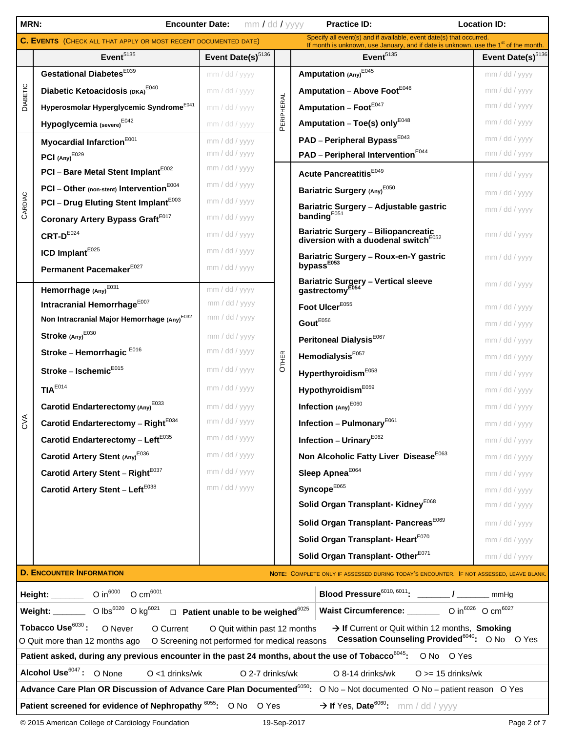| MRN:       | <b>Location ID:</b>                                                    |                                                     |            |                                                                                                                                                              |                               |
|------------|------------------------------------------------------------------------|-----------------------------------------------------|------------|--------------------------------------------------------------------------------------------------------------------------------------------------------------|-------------------------------|
|            | <b>C. EVENTS</b> (CHECK ALL THAT APPLY OR MOST RECENT DOCUMENTED DATE) |                                                     |            | Specify all event(s) and if available, event date(s) that occurred.<br>If month is unknown, use January, and if date is unknown, use the $1st$ of the month. |                               |
|            | Event <sup>5135</sup>                                                  | Event Date(s) <sup>5136</sup>                       |            | Event <sup>5135</sup>                                                                                                                                        | Event Date(s) <sup>5136</sup> |
| DIABETIC   | Gestational Diabetes <sup>E039</sup>                                   | mm / dd / yyyy                                      |            | Amputation $(Any)^{E045}$                                                                                                                                    | mm / dd / yyyy                |
|            | Diabetic Ketoacidosis (DKA) <sup>E040</sup>                            | mm / dd / yyyy                                      |            | Amputation - Above Foot <sup>E046</sup>                                                                                                                      | mm / dd / yyyy                |
|            | Hyperosmolar Hyperglycemic Syndrome <sup>E041</sup>                    | mm / dd / yyyy                                      | PERIPHERAL | Amputation - FootE047                                                                                                                                        | mm / dd / yyyy                |
|            | Hypoglycemia (severe) <sup>E042</sup>                                  | mm / dd / yyyy                                      |            | Amputation - Toe(s) only <sup>E048</sup>                                                                                                                     | mm / dd / yyyy                |
|            | Myocardial Infarction <sup>E001</sup>                                  | mm / dd / yyyy                                      |            | PAD - Peripheral Bypass <sup>E043</sup>                                                                                                                      | mm / dd / yyyy                |
|            | PCI $(Any)^{E029}$                                                     | mm / dd / yyyy                                      |            | PAD - Peripheral Intervention <sup>E044</sup>                                                                                                                | mm / dd / yyyy                |
|            | PCI - Bare Metal Stent Implant <sup>E002</sup>                         | mm / dd / yyyy                                      |            | Acute Pancreatitis <sup>E049</sup>                                                                                                                           | mm / dd / yyyy                |
|            | PCI - Other (non-stent) Intervention <sup>E004</sup>                   | mm / dd / yyyy                                      |            | Bariatric Surgery (Any) <sup>E050</sup>                                                                                                                      | mm / dd / yyyy                |
| CARDIAC    | PCI - Drug Eluting Stent Implant <sup>E003</sup>                       | mm / dd / yyyy                                      |            | Bariatric Surgery - Adjustable gastric                                                                                                                       | mm / dd / yyyy                |
|            | Coronary Artery Bypass Graft <sup>E017</sup>                           | mm / dd / yyyy                                      |            | banding $E_{051}$                                                                                                                                            |                               |
|            | $CRT-D^{E024}$                                                         | mm / dd / yyyy                                      |            | Bariatric Surgery - Biliopancreatic<br>diversion with a duodenal switch <sup>E052</sup>                                                                      | mm / dd / yyyy                |
|            | ICD Implant <sup>E025</sup>                                            | mm / dd / yyyy                                      |            | Bariatric Surgery - Roux-en-Y gastric<br>bypass <sup>E053</sup>                                                                                              | mm / dd / yyyy                |
|            | Permanent Pacemaker <sup>E027</sup>                                    | mm / dd / yyyy                                      |            |                                                                                                                                                              |                               |
|            | Hemorrhage (Any) <sup>E031</sup>                                       | mm / dd / yyyy                                      |            | <b>Bariatric Surgery - Vertical sleeve</b><br>gastrectomy <sup>E0</sup>                                                                                      | mm / dd / yyyy                |
|            | Intracranial Hemorrhage <sup>E007</sup>                                | mm / dd / yyyy                                      |            | Foot UlcerE055                                                                                                                                               | mm / dd / yyyy                |
|            | Non Intracranial Major Hemorrhage (Any) <sup>E032</sup>                | mm / dd / yyyy                                      |            | $\textbf{Gout}^{\text{E056}}$                                                                                                                                | mm / dd / yyyy                |
|            | Stroke (Any) <sup>E030</sup>                                           | mm / dd / yyyy                                      |            | Peritoneal Dialysis <sup>E067</sup>                                                                                                                          | mm / dd / yyyy                |
|            | Stroke - Hemorrhagic E016                                              | mm / dd / yyyy                                      | OTHER      | Hemodialysis <sup>E057</sup>                                                                                                                                 | mm / dd / yyyy                |
|            | Stroke - Ischemic $E_{015}$                                            | mm / dd / yyyy                                      |            | Hyperthyroidism <sup>E058</sup>                                                                                                                              | mm / dd / yyyy                |
|            | TIA <sup>E014</sup>                                                    | mm / dd / yyyy                                      |            | Hypothyroidism <sup>E059</sup>                                                                                                                               | mm / dd / yyyy                |
|            | Carotid Endarterectomy (Any) <sup>E033</sup>                           | mm / dd / yyyy                                      |            | Infection (Any) <sup>E060</sup>                                                                                                                              | mm / dd / yyyy                |
| <b>SVA</b> | Carotid Endarterectomy - Right <sup>E034</sup>                         | mm / dd / yyyy                                      |            | Infection - Pulmonary <sup>E061</sup>                                                                                                                        | mm / dd / yyyy                |
|            | Carotid Endarterectomy - Left $E^{035}$                                | mm / dd / yyyy                                      |            | Infection - Urinary <sup>E062</sup>                                                                                                                          | mm / dd / yyyy                |
|            | Carotid Artery Stent (Any) <sup>E036</sup>                             | mm / dd / yyyy                                      |            | Non Alcoholic Fatty Liver Disease <sup>E063</sup>                                                                                                            | mm / dd / yyyy                |
|            | Carotid Artery Stent - Right <sup>E037</sup>                           | mm / dd / yyyy                                      |            | Sleep Apnea <sup>E064</sup>                                                                                                                                  | mm / dd / yyyy                |
|            | Carotid Artery Stent - Left <sup>E038</sup>                            | mm / dd / yyyy                                      |            | Syncope <sup>E065</sup>                                                                                                                                      | mm / dd / yyyy                |
|            |                                                                        |                                                     |            | Solid Organ Transplant- Kidney <sup>E068</sup>                                                                                                               | mm / dd / yyyy                |
|            |                                                                        |                                                     |            | Solid Organ Transplant- Pancreas <sup>E069</sup>                                                                                                             | mm / dd / yyyy                |
|            |                                                                        |                                                     |            | Solid Organ Transplant- Heart <sup>E070</sup>                                                                                                                | mm / dd / yyyy                |
|            |                                                                        |                                                     |            | Solid Organ Transplant-Other <sup>E071</sup>                                                                                                                 | mm / dd / yyyy                |
|            | <b>D. ENCOUNTER INFORMATION</b>                                        |                                                     |            | NOTE: COMPLETE ONLY IF ASSESSED DURING TODAY'S ENCOUNTER. IF NOT ASSESSED, LEAVE BLANK.                                                                      |                               |
|            | Height: _______ O in <sup>6000</sup> O cm <sup>6001</sup>              |                                                     |            | Blood Pressure <sup>6010, 6011</sup> : ________/ ________ mmHg                                                                                               |                               |
|            | Weight: _______ O lbs $^{6020}$ O kg $^{6021}$                         | $\Box$ Patient unable to be weighed <sup>6025</sup> |            | Waist Circumference: ________ O in <sup>6026</sup> O cm <sup>6027</sup>                                                                                      |                               |
|            | Tobacco Use $^{6030}\colon$<br>O Never<br>O Current                    | O Quit within past 12 months                        |            | > If Current or Quit within 12 months, Smoking                                                                                                               |                               |
|            | O Quit more than 12 months ago                                         | O Screening not performed for medical reasons       |            | Cessation Counseling Provided <sup>6040</sup> : O No O Yes                                                                                                   |                               |
|            |                                                                        |                                                     |            | Patient asked, during any previous encounter in the past 24 months, about the use of Tobacco <sup>6045</sup> : O No O Yes                                    |                               |
|            | Alcohol Use <sup>6047</sup> : O None<br>$O < 1$ drinks/wk              | O 2-7 drinks/wk                                     |            | O 8-14 drinks/wk<br>$O \geq 15$ drinks/wk                                                                                                                    |                               |
|            |                                                                        |                                                     |            | Advance Care Plan OR Discussion of Advance Care Plan Documented <sup>6050</sup> : O No – Not documented O No – patient reason O Yes                          |                               |
|            | Patient screened for evidence of Nephropathy 6055: O No O Yes          |                                                     |            | $\rightarrow$ If Yes, Date <sup>6060</sup> : mm / dd / yyyy                                                                                                  |                               |
|            | © 2015 American College of Cardiology Foundation                       |                                                     |            | 19-Sep-2017                                                                                                                                                  | Page 2 of 7                   |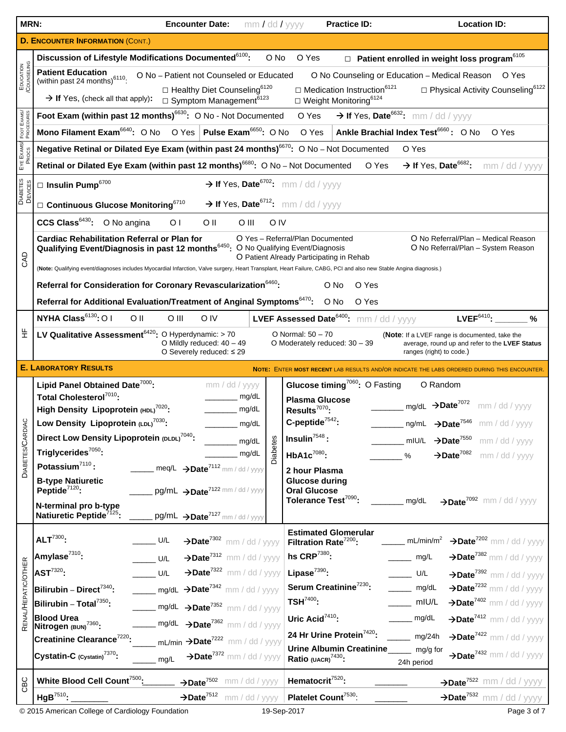| MRN:                       | mm / dd / yyyy<br><b>Encounter Date:</b>                                                                                                                                                                                                                                                                                     | <b>Location ID:</b><br><b>Practice ID:</b>                                                                                                                                                                     |  |  |  |  |  |  |  |  |  |  |
|----------------------------|------------------------------------------------------------------------------------------------------------------------------------------------------------------------------------------------------------------------------------------------------------------------------------------------------------------------------|----------------------------------------------------------------------------------------------------------------------------------------------------------------------------------------------------------------|--|--|--|--|--|--|--|--|--|--|
|                            | <b>D. ENCOUNTER INFORMATION (CONT.)</b>                                                                                                                                                                                                                                                                                      |                                                                                                                                                                                                                |  |  |  |  |  |  |  |  |  |  |
|                            | Discussion of Lifestyle Modifications Documented <sup>6100</sup> :                                                                                                                                                                                                                                                           | $\Box$ Patient enrolled in weight loss program <sup>6105</sup><br>O Yes<br>O No                                                                                                                                |  |  |  |  |  |  |  |  |  |  |
| EDUCATION<br>/COUNSELING   | <b>Patient Education</b><br>O No - Patient not Counseled or Educated<br>O No Counseling or Education - Medical Reason<br>O Yes<br>(within past 24 months) $6110$ .<br>$\Box$ Healthy Diet Counseling <sup>6120</sup><br>$\Box$ Medication Instruction <sup>6121</sup><br>$\Box$ Physical Activity Counseling <sup>6122</sup> |                                                                                                                                                                                                                |  |  |  |  |  |  |  |  |  |  |
|                            | $\rightarrow$ If Yes, (check all that apply):<br>$\Box$ Symptom Management <sup>6123</sup><br>$\Box$ Weight Monitoring <sup>6124</sup>                                                                                                                                                                                       |                                                                                                                                                                                                                |  |  |  |  |  |  |  |  |  |  |
| FOOT EXAMS                 | Foot Exam (within past 12 months) <sup>6630</sup> : O No - Not Documented                                                                                                                                                                                                                                                    | $\rightarrow$ If Yes, Date <sup>6632</sup> : mm / dd / yyyy<br>O Yes                                                                                                                                           |  |  |  |  |  |  |  |  |  |  |
|                            | Mono Filament Exam <sup>6640</sup> : O No O Yes Pulse Exam <sup>6650</sup> : O No                                                                                                                                                                                                                                            | Ankle Brachial Index Test <sup>6660</sup> : O No<br>O Yes<br>O Yes                                                                                                                                             |  |  |  |  |  |  |  |  |  |  |
| EYE EXAMS/<br>PROCS        | Negative Retinal or Dilated Eye Exam (within past 24 months) <sup>6670</sup> : O No - Not Documented                                                                                                                                                                                                                         | O Yes                                                                                                                                                                                                          |  |  |  |  |  |  |  |  |  |  |
|                            |                                                                                                                                                                                                                                                                                                                              | Retinal or Dilated Eye Exam (within past 12 months) <sup>6680</sup> : O No - Not Documented<br>$\rightarrow$ If Yes, Date <sup>6682</sup> :<br>O Yes<br>mm / dd / yyyy                                         |  |  |  |  |  |  |  |  |  |  |
| <b>DIABETES</b><br>DEVICES | $\rightarrow$ If Yes, Date <sup>6702</sup> : mm / dd / yyyy<br>$\Box$ Insulin Pump <sup>6700</sup>                                                                                                                                                                                                                           |                                                                                                                                                                                                                |  |  |  |  |  |  |  |  |  |  |
|                            | $\rightarrow$ If Yes, Date <sup>6712</sup> : mm / dd / yyyy<br>$\square$ Continuous Glucose Monitoring <sup>6710</sup>                                                                                                                                                                                                       |                                                                                                                                                                                                                |  |  |  |  |  |  |  |  |  |  |
|                            | CCS Class <sup>6430</sup> : O No angina<br>O <sub>1</sub><br>O II<br>O III                                                                                                                                                                                                                                                   | O IV                                                                                                                                                                                                           |  |  |  |  |  |  |  |  |  |  |
|                            | <b>Cardiac Rehabilitation Referral or Plan for</b><br>Qualifying Event/Diagnosis in past 12 months <sup>6450</sup> : O No Qualifying Event/Diagnosis                                                                                                                                                                         | O Yes - Referral/Plan Documented<br>O No Referral/Plan - Medical Reason<br>O No Referral/Plan - System Reason                                                                                                  |  |  |  |  |  |  |  |  |  |  |
| GAD                        |                                                                                                                                                                                                                                                                                                                              | O Patient Already Participating in Rehab<br>(Note: Qualifying event/diagnoses includes Myocardial Infarction, Valve surgery, Heart Transplant, Heart Failure, CABG, PCI and also new Stable Angina diagnosis.) |  |  |  |  |  |  |  |  |  |  |
|                            | Referral for Consideration for Coronary Revascularization <sup>6460</sup> :<br>O No<br>O Yes                                                                                                                                                                                                                                 |                                                                                                                                                                                                                |  |  |  |  |  |  |  |  |  |  |
|                            | Referral for Additional Evaluation/Treatment of Anginal Symptoms <sup>6470</sup> : O No                                                                                                                                                                                                                                      | O Yes                                                                                                                                                                                                          |  |  |  |  |  |  |  |  |  |  |
|                            | NYHA Class <sup>6130</sup> : O I<br>O II<br>$O$ III<br>O IV                                                                                                                                                                                                                                                                  | $LVEF6410$ :<br><b>LVEF Assessed Date<sup>6400</sup>:</b> mm / dd / yyyy<br>%                                                                                                                                  |  |  |  |  |  |  |  |  |  |  |
| 뚶                          | LV Qualitative Assessment <sup>6420</sup> : O Hyperdynamic: > 70<br>O Mildly reduced: $40 - 49$<br>O Severely reduced: $\leq 29$                                                                                                                                                                                             | O Normal: 50 - 70<br>(Note: If a LVEF range is documented, take the<br>O Moderately reduced: 30 - 39<br>average, round up and refer to the LVEF Status<br>ranges (right) to code.)                             |  |  |  |  |  |  |  |  |  |  |
|                            | <b>E. LABORATORY RESULTS</b>                                                                                                                                                                                                                                                                                                 | <b>NOTE: ENTER MOST RECENT LAB RESULTS AND/OR INDICATE THE LABS ORDERED</b>                                                                                                                                    |  |  |  |  |  |  |  |  |  |  |
|                            | Lipid Panel Obtained Date <sup>7000</sup> :<br>mm / dd / yyyy                                                                                                                                                                                                                                                                | Glucose timing <sup>7060</sup> : O Fasting<br>O Random                                                                                                                                                         |  |  |  |  |  |  |  |  |  |  |
|                            | Total Cholesterol <sup>7010</sup> :<br>mg/dL                                                                                                                                                                                                                                                                                 | <b>Plasma Glucose</b><br>$_{\text{mq/dL}}$ $\rightarrow$ Date <sup>7072</sup><br>mm / dd / yyyy                                                                                                                |  |  |  |  |  |  |  |  |  |  |
| Q                          | High Density Lipoprotein (HDL) <sup>7020</sup> :<br>mg/dL<br>Low Density Lipoprotein (LDL) <sup>7030</sup> :<br>mg/dL                                                                                                                                                                                                        | Results <sup>7070</sup> :<br>C-peptide $7542$ :<br>$ng/mL \rightarrow Date^{7546}$ mm / dd / yyyy                                                                                                              |  |  |  |  |  |  |  |  |  |  |
|                            | Direct Low Density Lipoprotein (DLDL) <sup>7040</sup> :                                                                                                                                                                                                                                                                      | $Insulin7548$ :<br>$\rightarrow$ Date <sup>7550</sup><br>mIU/L<br>mm / dd / yyyy                                                                                                                               |  |  |  |  |  |  |  |  |  |  |
| <b>DIABETES/CARD</b>       | <b>Diabetes</b><br>mg/dL<br>Triglycerides <sup>7050</sup> :<br>mg/dL                                                                                                                                                                                                                                                         | HbA1c <sup>7080</sup> :<br>$\rightarrow$ Date <sup>7082</sup><br>mm / dd / yyyy<br>%                                                                                                                           |  |  |  |  |  |  |  |  |  |  |
|                            | Potassium $^{7110}$ :<br>$\text{meq/L} \rightarrow \text{Date}^{7112}$ mm / dd / yyyy                                                                                                                                                                                                                                        | 2 hour Plasma                                                                                                                                                                                                  |  |  |  |  |  |  |  |  |  |  |
|                            | <b>B-type Natiuretic</b><br>Peptide $7120$ :<br>pg/mL $\rightarrow$ Date <sup>7122</sup> mm / dd / yyyy                                                                                                                                                                                                                      | <b>Glucose during</b>                                                                                                                                                                                          |  |  |  |  |  |  |  |  |  |  |
|                            | N-terminal pro b-type                                                                                                                                                                                                                                                                                                        | <b>Oral Glucose</b><br>Tolerance Test <sup>7090</sup> :<br>>Date <sup>7092</sup> mm / dd / yyyy<br>mg/dL                                                                                                       |  |  |  |  |  |  |  |  |  |  |
|                            | Natiuretic Peptide <sup>7125</sup> :<br>$pg/mL \rightarrow Date^{7127}$ mm / dd / yyyy                                                                                                                                                                                                                                       |                                                                                                                                                                                                                |  |  |  |  |  |  |  |  |  |  |
|                            | $ALT^{7300}$ :<br>U/L<br>$\rightarrow$ Date <sup>7302</sup> mm / dd / yyyy                                                                                                                                                                                                                                                   | <b>Estimated Glomerular</b><br>$\rightarrow$ Date <sup>7202</sup> mm / dd / yyyy<br>mL/min/m <sup>2</sup><br>Filtration Rate <sup>7200</sup> :                                                                 |  |  |  |  |  |  |  |  |  |  |
|                            | Amylase <sup>7310</sup> :<br>$\rightarrow$ Date <sup>7312</sup> mm / dd / yyyy<br>U/L                                                                                                                                                                                                                                        | hs $CRP^{7380}$ :<br>$\rightarrow$ Date <sup>7382</sup> mm / dd / yyyy<br>mg/L                                                                                                                                 |  |  |  |  |  |  |  |  |  |  |
|                            | $AST7320$ :<br>$\rightarrow$ Date <sup>7322</sup> mm / dd / yyyy<br>U/L                                                                                                                                                                                                                                                      | Lipase $^{7390}$ :<br>$\rightarrow$ Date <sup>7392</sup> mm / dd / yyyy<br>U/L                                                                                                                                 |  |  |  |  |  |  |  |  |  |  |
|                            | $\frac{1}{2}$ mg/dL $\rightarrow$ Date <sup>7342</sup> mm / dd / yyyy<br>Bilirubin - Direct $^{7340}$ :                                                                                                                                                                                                                      | $\rightarrow$ Date <sup>7232</sup> mm / dd / yyyy<br>Serum Creatinine <sup>7230</sup> :<br>mg/dL                                                                                                               |  |  |  |  |  |  |  |  |  |  |
|                            | Bilirubin - Total <sup>7350</sup> :<br>$\frac{1}{\sqrt{2}}$ mg/dL $\rightarrow$ Date <sup>7352</sup> mm / dd / yyyy                                                                                                                                                                                                          | $TSH^{7400}$ :<br>$\rightarrow$ Date <sup>7402</sup> mm / dd / yyyy<br>mIU/L                                                                                                                                   |  |  |  |  |  |  |  |  |  |  |
| RENAL/HEPATIC/OTHER        | <b>Blood Urea</b><br>mg/dL $\rightarrow$ Date <sup>7362</sup> mm / dd / yyyy<br>Nitrogen (BUN) <sup>7360</sup> :                                                                                                                                                                                                             | Uric Acid <sup>7410</sup> :<br>$\rightarrow$ Date <sup>7412</sup> mm / dd / yyyy<br>mg/dL                                                                                                                      |  |  |  |  |  |  |  |  |  |  |
|                            | Creatinine Clearance <sup>7220</sup> :<br>$mL/min \rightarrow$ Date <sup>7222</sup> mm / dd / yyyy                                                                                                                                                                                                                           | 24 Hr Urine Protein <sup>7420</sup> :<br>$\rightarrow$ Date <sup>7422</sup> mm / dd / yyyy<br>mg/24h                                                                                                           |  |  |  |  |  |  |  |  |  |  |
|                            | $\rightarrow$ Date <sup>7372</sup> mm / dd / yyyy<br>Cystatin-C $(c_{\text{ystatin}})^{7370}$ :<br>mg/L                                                                                                                                                                                                                      | <b>Urine Albumin Creatinine</b><br>mg/g for<br>$\rightarrow$ Date <sup>7432</sup> mm / dd / yyyy<br>Ratio (UACR) <sup>7430</sup> :<br>24h period                                                               |  |  |  |  |  |  |  |  |  |  |
| CBC                        | White Blood Cell Count <sup>7500</sup> :<br>$\rightarrow$ Date <sup>7502</sup> mm / dd / yyyy                                                                                                                                                                                                                                | Hematocrit <sup>7520</sup> :<br>>Date <sup>7522</sup> mm / dd / yyyy                                                                                                                                           |  |  |  |  |  |  |  |  |  |  |
|                            | $HgB^{7510}$ :<br>$\rightarrow$ Date <sup>7512</sup> mm / dd / yyyy                                                                                                                                                                                                                                                          | >Date <sup>7532</sup> mm / dd / yyyy<br>Platelet Count <sup>7530</sup> :                                                                                                                                       |  |  |  |  |  |  |  |  |  |  |

© 2015 American College of Cardiology Foundation 19-Sep-2017 19-Sep-2017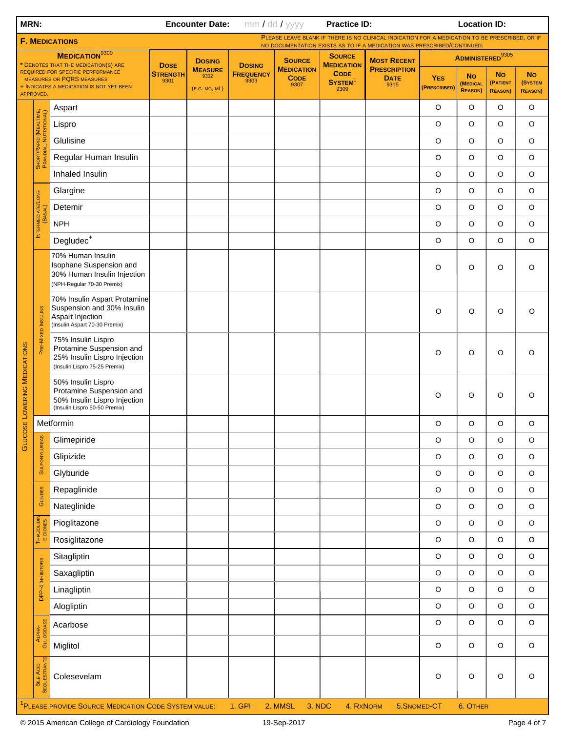| MRN:                                                           |                                                  |                                                                                                                   |                                        | <b>Encounter Date:</b>                  |                                           | mm / dd / yyyy                           | <b>Practice ID:</b>                        |                                                                                                                                                                           |                            | <b>Location ID:</b>                      |                                         |                                        |
|----------------------------------------------------------------|--------------------------------------------------|-------------------------------------------------------------------------------------------------------------------|----------------------------------------|-----------------------------------------|-------------------------------------------|------------------------------------------|--------------------------------------------|---------------------------------------------------------------------------------------------------------------------------------------------------------------------------|----------------------------|------------------------------------------|-----------------------------------------|----------------------------------------|
|                                                                |                                                  | <b>F. MEDICATIONS</b>                                                                                             |                                        |                                         |                                           |                                          |                                            | PLEASE LEAVE BLANK IF THERE IS NO CLINICAL INDICATION FOR A MEDICATION TO BE PRESCRIBED, OR IF<br>NO DOCUMENTATION EXISTS AS TO IF A MEDICATION WAS PRESCRIBED/CONTINUED. |                            |                                          |                                         |                                        |
| <b>MEDICATION</b> 9300<br>* DENOTES THAT THE MEDICATION(S) ARE |                                                  |                                                                                                                   |                                        | <b>DOSING</b>                           |                                           | <b>SOURCE</b>                            | <b>SOURCE</b><br><b>MEDICATION</b>         | <b>MOST RECENT</b>                                                                                                                                                        |                            | <b>ADMINISTERED</b> 9305                 |                                         |                                        |
|                                                                | APPROVED.                                        | REQUIRED FOR SPECIFIC PERFORMANCE<br><b>MEASURES OR PQRS MEASURES</b><br>+ INDICATES A MEDICATION IS NOT YET BEEN | <b>DOSE</b><br><b>STRENGTH</b><br>9301 | <b>MEASURE</b><br>9302<br>(E.G. MG, ML) | <b>DOSING</b><br><b>FREQUENCY</b><br>9303 | <b>MEDICATION</b><br><b>CODE</b><br>9307 | <b>CODE</b><br>SYSTEM <sup>1</sup><br>9309 | <b>PRESCRIPTION</b><br><b>DATE</b><br>9315                                                                                                                                | <b>YES</b><br>(PRESCRIBED) | <b>No</b><br>(MEDICAL<br><b>REASON</b> ) | <b>No</b><br>(PATIENT<br><b>REASON)</b> | <b>No</b><br>(SYSTEM<br><b>REASON)</b> |
|                                                                |                                                  | Aspart                                                                                                            |                                        |                                         |                                           |                                          |                                            |                                                                                                                                                                           | $\circ$                    | $\circ$                                  | O                                       | $\circ$                                |
|                                                                |                                                  | Lispro                                                                                                            |                                        |                                         |                                           |                                          |                                            |                                                                                                                                                                           | O                          | $\circ$                                  | $\circ$                                 | $\circ$                                |
|                                                                |                                                  | Glulisine                                                                                                         |                                        |                                         |                                           |                                          |                                            |                                                                                                                                                                           | $\circ$                    | $\circ$                                  | $\circ$                                 | $\circ$                                |
|                                                                | Short/Rapid (Mealtime,<br>Prandial, Nutritional) | Regular Human Insulin                                                                                             |                                        |                                         |                                           |                                          |                                            |                                                                                                                                                                           | $\circ$                    | $\circ$                                  | $\circ$                                 | $\circ$                                |
|                                                                |                                                  | Inhaled Insulin                                                                                                   |                                        |                                         |                                           |                                          |                                            |                                                                                                                                                                           | $\circ$                    | $\circ$                                  | $\circ$                                 | $\circ$                                |
|                                                                |                                                  | Glargine                                                                                                          |                                        |                                         |                                           |                                          |                                            |                                                                                                                                                                           | $\circ$                    | $\circ$                                  | $\circ$                                 | $\circ$                                |
|                                                                | BASAL                                            | Detemir                                                                                                           |                                        |                                         |                                           |                                          |                                            |                                                                                                                                                                           | $\circ$                    | $\circ$                                  | $\circ$                                 | $\circ$                                |
|                                                                | <b>INTERMEDIATE/LONG</b>                         | <b>NPH</b>                                                                                                        |                                        |                                         |                                           |                                          |                                            |                                                                                                                                                                           | $\circ$                    | $\circ$                                  | $\circ$                                 | $\circ$                                |
|                                                                |                                                  | Degludec <sup>+</sup>                                                                                             |                                        |                                         |                                           |                                          |                                            |                                                                                                                                                                           | $\circ$                    | $\circ$                                  | $\circ$                                 | $\circ$                                |
|                                                                |                                                  | 70% Human Insulin<br>Isophane Suspension and<br>30% Human Insulin Injection<br>(NPH-Regular 70-30 Premix)         |                                        |                                         |                                           |                                          |                                            |                                                                                                                                                                           | O                          | O                                        | O                                       | O                                      |
|                                                                | PRE-MIXED INSULINS                               | 70% Insulin Aspart Protamine<br>Suspension and 30% Insulin<br>Aspart Injection<br>(Insulin Aspart 70-30 Premix)   |                                        |                                         |                                           |                                          |                                            |                                                                                                                                                                           | $\circ$                    | O                                        | O                                       | $\circ$                                |
|                                                                |                                                  | 75% Insulin Lispro<br>Protamine Suspension and<br>25% Insulin Lispro Injection<br>(Insulin Lispro 75-25 Premix)   |                                        |                                         |                                           |                                          |                                            |                                                                                                                                                                           | O                          | O                                        | O                                       | O                                      |
|                                                                |                                                  | 50% Insulin Lispro<br>Protamine Suspension and<br>50% Insulin Lispro Injection<br>(Insulin Lispro 50-50 Premix)   |                                        |                                         |                                           |                                          |                                            |                                                                                                                                                                           | O                          | O                                        | $\circ$                                 | O                                      |
|                                                                |                                                  | Metformin                                                                                                         |                                        |                                         |                                           |                                          |                                            |                                                                                                                                                                           | $\circ$                    | $\circ$                                  | O                                       | O                                      |
| <b>GLUCOSE LOWERING MEDICATIONS</b>                            |                                                  | Glimepiride                                                                                                       |                                        |                                         |                                           |                                          |                                            |                                                                                                                                                                           | $\mathsf O$                | $\hbox{O}$                               | $\mathsf O$                             | $\mathsf O$                            |
|                                                                | <b>SULFONYLUREAS</b>                             | Glipizide                                                                                                         |                                        |                                         |                                           |                                          |                                            |                                                                                                                                                                           | $\circ$                    | $\circ$                                  | $\circ$                                 | $\mathsf O$                            |
|                                                                |                                                  | Glyburide                                                                                                         |                                        |                                         |                                           |                                          |                                            |                                                                                                                                                                           | $\mathsf O$                | $\mathsf O$                              | $\mathsf O$                             | $\mathsf O$                            |
|                                                                | GLINDES                                          | Repaglinide                                                                                                       |                                        |                                         |                                           |                                          |                                            |                                                                                                                                                                           | $\circ$                    | $\circ$                                  | $\circ$                                 | $\mathsf O$                            |
|                                                                |                                                  | Nateglinide                                                                                                       |                                        |                                         |                                           |                                          |                                            |                                                                                                                                                                           | $\mathsf O$                | $\mathsf O$                              | $\mathsf O$                             | $\mathsf O$                            |
|                                                                | THIAZOLIDIN<br>E DIONES                          | Pioglitazone                                                                                                      |                                        |                                         |                                           |                                          |                                            |                                                                                                                                                                           | $\circ$                    | $\circ$                                  | $\circ$                                 | $\mathsf O$                            |
|                                                                |                                                  | Rosiglitazone                                                                                                     |                                        |                                         |                                           |                                          |                                            |                                                                                                                                                                           | $\mathsf O$                | $\mathsf O$                              | $\mathsf O$                             | $\mathsf O$                            |
|                                                                |                                                  | Sitagliptin                                                                                                       |                                        |                                         |                                           |                                          |                                            |                                                                                                                                                                           | $\circ$                    | $\circ$                                  | $\circ$                                 | $\mathsf O$                            |
|                                                                | DPP-4 INHIBITORS                                 | Saxagliptin                                                                                                       |                                        |                                         |                                           |                                          |                                            |                                                                                                                                                                           | $\mathsf O$                | $\mathsf O$                              | $\mathsf O$                             | $\mathsf O$                            |
|                                                                |                                                  | Linagliptin                                                                                                       |                                        |                                         |                                           |                                          |                                            |                                                                                                                                                                           | $\circ$                    | $\circ$                                  | $\circ$                                 | $\mathsf O$                            |
|                                                                |                                                  | Alogliptin                                                                                                        |                                        |                                         |                                           |                                          |                                            |                                                                                                                                                                           | $\circ$                    | $\circ$                                  | $\mathsf O$                             | $\mathsf O$                            |
|                                                                |                                                  | Acarbose                                                                                                          |                                        |                                         |                                           |                                          |                                            |                                                                                                                                                                           | $\circ$                    | $\circ$                                  | $\circ$                                 | $\mathsf O$                            |
|                                                                | ALPHA-<br>GLUOSIDASE                             | Miglitol                                                                                                          |                                        |                                         |                                           |                                          |                                            |                                                                                                                                                                           | $\mathsf O$                | $\circ$                                  | $\circ$                                 | $\mathsf O$                            |
|                                                                | BILE ACID<br>SEQUESTRANTS                        | Colesevelam                                                                                                       |                                        |                                         |                                           |                                          |                                            |                                                                                                                                                                           | $\circ$                    | $\circ$                                  | $\circ$                                 | $\mathsf O$                            |
|                                                                |                                                  | <sup>1</sup> PLEASE PROVIDE SOURCE MEDICATION CODE SYSTEM VALUE:                                                  |                                        |                                         | 1. GPI                                    | 2. MMSL                                  | 3. NDC<br>4. RXNORM                        |                                                                                                                                                                           | 5.SNOMED-CT                | 6. OTHER                                 |                                         |                                        |
|                                                                |                                                  | @ 2015 American College of Cardiology Foundation                                                                  |                                        |                                         |                                           | 19-Sep-2017                              |                                            |                                                                                                                                                                           |                            |                                          |                                         | Page 4 of 7                            |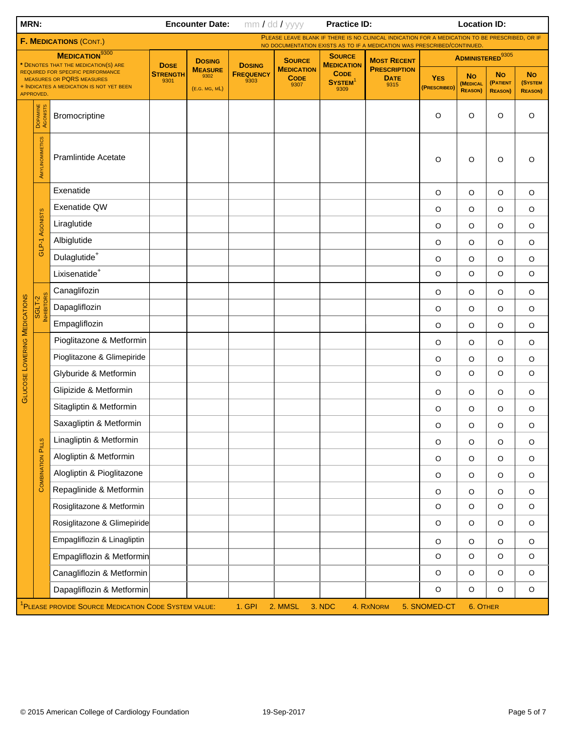| <b>MRN:</b><br><b>Encounter Date:</b>                            |                          |                                                                                                                          |                  | mm / dd / yyyy                          | <b>Practice ID:</b>      | <b>Location ID:</b>                      |                                            |                                                                                                                                                                          |                            |                                                |                                         |                                         |
|------------------------------------------------------------------|--------------------------|--------------------------------------------------------------------------------------------------------------------------|------------------|-----------------------------------------|--------------------------|------------------------------------------|--------------------------------------------|--------------------------------------------------------------------------------------------------------------------------------------------------------------------------|----------------------------|------------------------------------------------|-----------------------------------------|-----------------------------------------|
|                                                                  |                          | <b>F. MEDICATIONS (CONT.)</b>                                                                                            |                  |                                         |                          |                                          |                                            | PLEASE LEAVE BLANK IF THERE IS NO CLINICAL INDICATION FOR A MEDICATION TO BE PRESCRIBED, OR IF<br>NO DOCUMENTATION EXISTS AS TO IF A MEDICATION WAS PRESCRIBED/CONTINUED |                            |                                                |                                         |                                         |
|                                                                  |                          | <b>MEDICATION</b> 9300<br>* DENOTES THAT THE MEDICATION(S) ARE                                                           | <b>DOSE</b>      | <b>DOSING</b>                           | <b>DOSING</b>            | <b>SOURCE</b>                            | <b>SOURCE</b><br><b>MEDICATION</b>         | <b>MOST RECENT</b>                                                                                                                                                       |                            | <b>ADMINISTERED</b> 9305                       |                                         |                                         |
|                                                                  |                          | <b>REQUIRED FOR SPECIFIC PERFORMANCE</b><br><b>MEASURES OR PQRS MEASURES</b><br>+ INDICATES A MEDICATION IS NOT YET BEEN | Strength<br>9301 | <b>MEASURE</b><br>9302<br>(E.G. MG, ML) | <b>FREQUENCY</b><br>9303 | <b>MEDICATION</b><br><b>CODE</b><br>9307 | <b>CODE</b><br>SYSTEM <sup>1</sup><br>9309 | <b>PRESCRIPTION</b><br><b>DATE</b><br>9315                                                                                                                               | <b>YES</b><br>(PRESCRIBED) | <b>No</b><br><b>(MEDICAL</b><br><b>REASON)</b> | <b>No</b><br>(PATIENT<br><b>REASON)</b> | <b>No</b><br>(SYSTEM<br><b>REASON</b> ) |
|                                                                  | DOPAMINE<br>AGONISTS     | Bromocriptine                                                                                                            |                  |                                         |                          |                                          |                                            |                                                                                                                                                                          | O                          | O                                              | O                                       | O                                       |
|                                                                  | AMYLINOMIMETICS          | <b>Pramlintide Acetate</b>                                                                                               |                  |                                         |                          |                                          |                                            |                                                                                                                                                                          | O                          | O                                              | O                                       | O                                       |
|                                                                  |                          | Exenatide                                                                                                                |                  |                                         |                          |                                          |                                            |                                                                                                                                                                          | $\circ$                    | O                                              | $\circ$                                 | $\circ$                                 |
| APPROVED.<br><b>GLUCOSE LOWERING MEDICATIONS</b>                 |                          | Exenatide QW                                                                                                             |                  |                                         |                          |                                          |                                            |                                                                                                                                                                          | $\circ$                    | O                                              | O                                       | $\circ$                                 |
|                                                                  | <b>AGONISTS</b>          | Liraglutide                                                                                                              |                  |                                         |                          |                                          |                                            |                                                                                                                                                                          | $\circ$                    | O                                              | O                                       | $\circ$                                 |
|                                                                  | GLP-1                    | Albiglutide                                                                                                              |                  |                                         |                          |                                          |                                            |                                                                                                                                                                          | $\circ$                    | O                                              | O                                       | $\circ$                                 |
|                                                                  |                          | Dulaglutide <sup>+</sup>                                                                                                 |                  |                                         |                          |                                          |                                            |                                                                                                                                                                          | $\circ$                    | O                                              | O                                       | $\circ$                                 |
|                                                                  |                          | Lixisenatide <sup>+</sup>                                                                                                |                  |                                         |                          |                                          |                                            |                                                                                                                                                                          | O                          | O                                              | $\circ$                                 | $\circ$                                 |
|                                                                  | <b>RS</b>                | Canaglifozin                                                                                                             |                  |                                         |                          |                                          |                                            |                                                                                                                                                                          | $\circ$                    | O                                              | O                                       | $\circ$                                 |
|                                                                  | SGLT-2<br><b>NHIRI</b>   | Dapagliflozin                                                                                                            |                  |                                         |                          |                                          |                                            |                                                                                                                                                                          | $\circ$                    | O                                              | O                                       | $\circ$                                 |
|                                                                  |                          | Empagliflozin                                                                                                            |                  |                                         |                          |                                          |                                            |                                                                                                                                                                          | $\circ$                    | O                                              | O                                       | $\circ$                                 |
|                                                                  |                          | Pioglitazone & Metformin                                                                                                 |                  |                                         |                          |                                          |                                            |                                                                                                                                                                          | $\circ$                    | O                                              | O                                       | $\circ$                                 |
|                                                                  |                          | Pioglitazone & Glimepiride                                                                                               |                  |                                         |                          |                                          |                                            |                                                                                                                                                                          | $\circ$                    | O                                              | $\circ$                                 | $\circ$                                 |
|                                                                  |                          | Glyburide & Metformin                                                                                                    |                  |                                         |                          |                                          |                                            |                                                                                                                                                                          | $\circ$                    | O                                              | O                                       | $\circ$                                 |
|                                                                  |                          | Glipizide & Metformin                                                                                                    |                  |                                         |                          |                                          |                                            |                                                                                                                                                                          | $\circ$                    | O                                              | $\circ$                                 | $\circ$                                 |
|                                                                  |                          | Sitagliptin & Metformin                                                                                                  |                  |                                         |                          |                                          |                                            |                                                                                                                                                                          | $\circ$                    | $\circ$                                        | $\circ$                                 | $\circ$                                 |
|                                                                  |                          | Saxagliptin & Metformin                                                                                                  |                  |                                         |                          |                                          |                                            |                                                                                                                                                                          | $\circ$                    | O                                              | $\circ$                                 | O                                       |
|                                                                  |                          | Linagliptin & Metformin                                                                                                  |                  |                                         |                          |                                          |                                            |                                                                                                                                                                          | $\mathsf O$                | $\hbox{O}$                                     | $\circ$                                 | $\mathsf O$                             |
|                                                                  | <b>COMBINATION PILLS</b> | Alogliptin & Metformin                                                                                                   |                  |                                         |                          |                                          |                                            |                                                                                                                                                                          | $\mathsf O$                | O                                              | $\mathsf O$                             | $\mathsf O$                             |
|                                                                  |                          | Alogliptin & Pioglitazone                                                                                                |                  |                                         |                          |                                          |                                            |                                                                                                                                                                          | O                          | O                                              | O                                       | $\mathsf O$                             |
|                                                                  |                          | Repaglinide & Metformin                                                                                                  |                  |                                         |                          |                                          |                                            |                                                                                                                                                                          | O                          | O                                              | O                                       | $\mathsf O$                             |
|                                                                  |                          | Rosiglitazone & Metformin                                                                                                |                  |                                         |                          |                                          |                                            |                                                                                                                                                                          | $\mathsf O$                | $\circ$                                        | $\mathsf O$                             | $\circ$                                 |
|                                                                  |                          | Rosiglitazone & Glimepiride                                                                                              |                  |                                         |                          |                                          |                                            |                                                                                                                                                                          | $\mathsf O$                | $\circ$                                        | $\mathsf O$                             | $\circ$                                 |
|                                                                  |                          | Empagliflozin & Linagliptin                                                                                              |                  |                                         |                          |                                          |                                            |                                                                                                                                                                          | O                          | O                                              | O                                       | $\mathsf O$                             |
|                                                                  |                          | Empagliflozin & Metformin                                                                                                |                  |                                         |                          |                                          |                                            |                                                                                                                                                                          | $\circ$                    | $\circ$                                        | $\circ$                                 | $\circ$                                 |
|                                                                  |                          | Canagliflozin & Metformin                                                                                                |                  |                                         |                          |                                          |                                            |                                                                                                                                                                          | $\mathsf O$                | $\circ$                                        | $\mathsf O$                             | $\mathsf O$                             |
|                                                                  |                          | Dapagliflozin & Metformin                                                                                                |                  |                                         |                          |                                          |                                            |                                                                                                                                                                          | $\mathsf O$                | $\circ$                                        | $\circ$                                 | $\mathsf O$                             |
| <sup>1</sup> PLEASE PROVIDE SOURCE MEDICATION CODE SYSTEM VALUE: |                          |                                                                                                                          |                  |                                         | 1. GPI                   | 2. MMSL                                  | 3. NDC                                     | 4. RXNORM                                                                                                                                                                | 5. SNOMED-CT               | 6. OTHER                                       |                                         |                                         |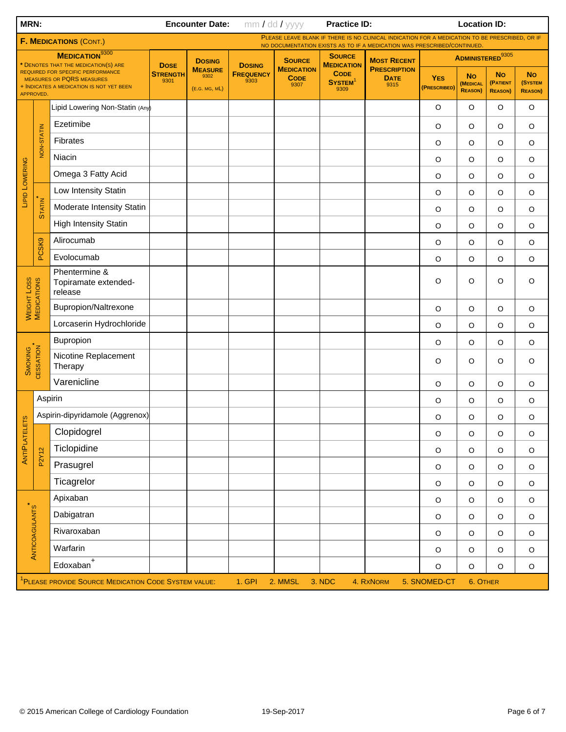|                                                                                                                                                                        |                        |                                                                  |                                         | <b>Encounter Date:</b>   |                                          | mm / dd / yyyy                       | <b>Practice ID:</b>                        |                                                                                                                                                                           | <b>Location ID:</b>                     |                                         |                                        |             |
|------------------------------------------------------------------------------------------------------------------------------------------------------------------------|------------------------|------------------------------------------------------------------|-----------------------------------------|--------------------------|------------------------------------------|--------------------------------------|--------------------------------------------|---------------------------------------------------------------------------------------------------------------------------------------------------------------------------|-----------------------------------------|-----------------------------------------|----------------------------------------|-------------|
|                                                                                                                                                                        |                        | <b>F. MEDICATIONS (CONT.)</b>                                    |                                         |                          |                                          |                                      |                                            | PLEASE LEAVE BLANK IF THERE IS NO CLINICAL INDICATION FOR A MEDICATION TO BE PRESCRIBED, OR IF<br>NO DOCUMENTATION EXISTS AS TO IF A MEDICATION WAS PRESCRIBED/CONTINUED. |                                         |                                         |                                        |             |
|                                                                                                                                                                        |                        | MEDICATION <sup>9300</sup>                                       | <b>DOSE</b>                             | <b>DOSING</b>            | <b>DOSING</b>                            | <b>SOURCE</b>                        | <b>SOURCE</b><br><b>MEDICATION</b>         | <b>MOST RECENT</b>                                                                                                                                                        |                                         |                                         | <b>ADMINISTERED</b> 9305               |             |
| * DENOTES THAT THE MEDICATION(S) ARE<br>REQUIRED FOR SPECIFIC PERFORMANCE<br><b>MEASURES OR PQRS MEASURES</b><br>+ INDICATES A MEDICATION IS NOT YET BEEN<br>APPROVED. |                        | <b>STRENGTH</b><br>9301                                          | <b>MEASURE</b><br>9302<br>(E.G. MG, ML) | <b>FREQUENCY</b><br>9303 | <b>MEDICATION</b><br><b>CODE</b><br>9307 | <b>CODE</b><br><b>SYSTEM</b><br>9309 | <b>PRESCRIPTION</b><br><b>DATE</b><br>9315 | <b>YES</b><br>(PRESCRIBED)                                                                                                                                                | <b>No</b><br>(MEDICAL<br><b>REASON)</b> | <b>No</b><br>(PATIENT<br><b>REASON)</b> | <b>No</b><br>(SYSTEM<br><b>REASON)</b> |             |
|                                                                                                                                                                        |                        | Lipid Lowering Non-Statin (Any)                                  |                                         |                          |                                          |                                      |                                            |                                                                                                                                                                           | $\circ$                                 | O                                       | O                                      | $\circ$     |
| MRN:<br>LIPID LOWERING<br>WEIGHT LOSS<br>MEDICATIONS<br><b>SMOKING</b><br>ANTIPLATELETS<br>ANTICOAGULANTS                                                              |                        | Ezetimibe                                                        |                                         |                          |                                          |                                      |                                            |                                                                                                                                                                           | O                                       | O                                       | O                                      | $\circ$     |
|                                                                                                                                                                        | NON-STATIN             | Fibrates                                                         |                                         |                          |                                          |                                      |                                            |                                                                                                                                                                           | $\circ$                                 | O                                       | O                                      | $\circ$     |
|                                                                                                                                                                        |                        | Niacin                                                           |                                         |                          |                                          |                                      |                                            |                                                                                                                                                                           | O                                       | O                                       | $\mathsf O$                            | $\circ$     |
|                                                                                                                                                                        |                        | Omega 3 Fatty Acid                                               |                                         |                          |                                          |                                      |                                            |                                                                                                                                                                           | $\circ$                                 | O                                       | $\circ$                                | $\circ$     |
|                                                                                                                                                                        |                        | Low Intensity Statin                                             |                                         |                          |                                          |                                      |                                            |                                                                                                                                                                           | $\mathsf O$                             | O                                       | $\mathsf O$                            | $\circ$     |
|                                                                                                                                                                        | <b>STATIN</b>          | Moderate Intensity Statin                                        |                                         |                          |                                          |                                      |                                            |                                                                                                                                                                           | $\circ$                                 | O                                       | $\mathsf O$                            | $\circ$     |
|                                                                                                                                                                        |                        | <b>High Intensity Statin</b>                                     |                                         |                          |                                          |                                      |                                            |                                                                                                                                                                           | $\circ$                                 | O                                       | $\mathsf O$                            | $\circ$     |
|                                                                                                                                                                        | PCSK9                  | Alirocumab                                                       |                                         |                          |                                          |                                      |                                            |                                                                                                                                                                           | $\circ$                                 | O                                       | $\circ$                                | $\circ$     |
|                                                                                                                                                                        |                        | Evolocumab                                                       |                                         |                          |                                          |                                      |                                            |                                                                                                                                                                           | $\circ$                                 | O                                       | $\circ$                                | $\circ$     |
|                                                                                                                                                                        |                        | Phentermine &<br>Topiramate extended-<br>release                 |                                         |                          |                                          |                                      |                                            |                                                                                                                                                                           | $\circ$                                 | O                                       | $\circ$                                | O           |
|                                                                                                                                                                        |                        | Bupropion/Naltrexone                                             |                                         |                          |                                          |                                      |                                            |                                                                                                                                                                           | $\mathsf O$                             | O                                       | O                                      | $\circ$     |
|                                                                                                                                                                        |                        | Lorcaserin Hydrochloride                                         |                                         |                          |                                          |                                      |                                            |                                                                                                                                                                           | $\circ$                                 | O                                       | $\mathsf O$                            | $\circ$     |
|                                                                                                                                                                        |                        | Bupropion                                                        |                                         |                          |                                          |                                      |                                            |                                                                                                                                                                           | $\circ$                                 | O                                       | $\mathsf O$                            | $\circ$     |
|                                                                                                                                                                        | CESSATION <sup>+</sup> | Nicotine Replacement<br>Therapy                                  |                                         |                          |                                          |                                      |                                            |                                                                                                                                                                           | $\circ$                                 | O                                       | O                                      | $\circ$     |
|                                                                                                                                                                        |                        | Varenicline                                                      |                                         |                          |                                          |                                      |                                            |                                                                                                                                                                           | $\circ$                                 | $\circ$                                 | $\circ$                                | $\circ$     |
|                                                                                                                                                                        | Aspirin                |                                                                  |                                         |                          |                                          |                                      |                                            |                                                                                                                                                                           | $\circ$                                 | O                                       | O                                      | $\circ$     |
|                                                                                                                                                                        |                        | Aspirin-dipyridamole (Aggrenox)                                  |                                         |                          |                                          |                                      |                                            |                                                                                                                                                                           | O                                       | $\circ$                                 | O                                      | $\circ$     |
|                                                                                                                                                                        |                        | Clopidogrel                                                      |                                         |                          |                                          |                                      |                                            |                                                                                                                                                                           | $\hbox{O}$                              | $\hbox{O}$                              | $\mathsf O$                            | $\mathsf O$ |
|                                                                                                                                                                        | P2Y12                  | Ticlopidine                                                      |                                         |                          |                                          |                                      |                                            |                                                                                                                                                                           | $\mathsf O$                             | $\mathsf O$                             | $\mathsf O$                            | $\mathsf O$ |
|                                                                                                                                                                        |                        | Prasugrel                                                        |                                         |                          |                                          |                                      |                                            |                                                                                                                                                                           | $\mathsf O$                             | $\mathsf O$                             | $\mathsf O$                            | $\mathsf O$ |
|                                                                                                                                                                        |                        | Ticagrelor                                                       |                                         |                          |                                          |                                      |                                            |                                                                                                                                                                           | $\mathsf O$                             | $\mathsf O$                             | $\mathsf O$                            | $\mathsf O$ |
|                                                                                                                                                                        |                        | Apixaban                                                         |                                         |                          |                                          |                                      |                                            |                                                                                                                                                                           | $\mathsf O$                             | $\mathsf O$                             | $\mathsf O$                            | $\mathsf O$ |
|                                                                                                                                                                        |                        | Dabigatran                                                       |                                         |                          |                                          |                                      |                                            |                                                                                                                                                                           | $\mathsf O$                             | O                                       | $\mathsf O$                            | $\mathsf O$ |
|                                                                                                                                                                        |                        | Rivaroxaban                                                      |                                         |                          |                                          |                                      |                                            |                                                                                                                                                                           | $\mathsf O$                             | $\mathsf O$                             | $\mathsf O$                            | $\mathsf O$ |
|                                                                                                                                                                        |                        | Warfarin                                                         |                                         |                          |                                          |                                      |                                            |                                                                                                                                                                           | $\mathsf O$                             | $\circ$                                 | $\mathsf O$                            | $\mathsf O$ |
|                                                                                                                                                                        |                        | $Edoxaban$ <sup>+</sup>                                          |                                         |                          |                                          |                                      |                                            |                                                                                                                                                                           | $\hbox{O}$                              | $\mathsf O$                             | $\mathsf O$                            | $\mathsf O$ |
|                                                                                                                                                                        |                        | <sup>1</sup> PLEASE PROVIDE SOURCE MEDICATION CODE SYSTEM VALUE: |                                         |                          | 1. GPI                                   | 2. MMSL                              | 3. NDC                                     | 4. RXNORM                                                                                                                                                                 | 5. SNOMED-CT                            | 6. OTHER                                |                                        |             |